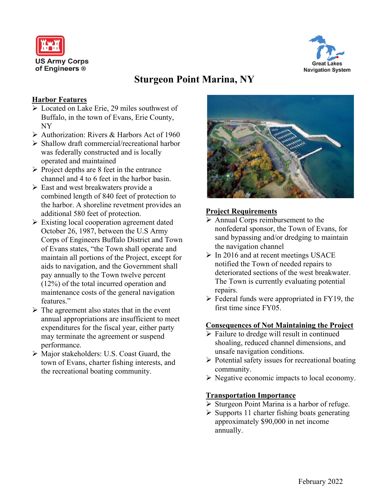



# **Sturgeon Point Marina, NY**

#### **Harbor Features**

- ➢ Located on Lake Erie, 29 miles southwest of Buffalo, in the town of Evans, Erie County, NY
- ➢ Authorization: Rivers & Harbors Act of 1960
- ➢ Shallow draft commercial/recreational harbor was federally constructed and is locally operated and maintained
- $\triangleright$  Project depths are 8 feet in the entrance channel and 4 to 6 feet in the harbor basin.
- ➢ East and west breakwaters provide a combined length of 840 feet of protection to the harbor. A shoreline revetment provides an additional 580 feet of protection.
- ➢ Existing local cooperation agreement dated October 26, 1987, between the U.S Army Corps of Engineers Buffalo District and Town of Evans states, "the Town shall operate and maintain all portions of the Project, except for aids to navigation, and the Government shall pay annually to the Town twelve percent (12%) of the total incurred operation and maintenance costs of the general navigation features."
- $\triangleright$  The agreement also states that in the event annual appropriations are insufficient to meet expenditures for the fiscal year, either party may terminate the agreement or suspend performance.
- ➢ Major stakeholders: U.S. Coast Guard, the town of Evans, charter fishing interests, and the recreational boating community.



### **Project Requirements**

- ➢ Annual Corps reimbursement to the nonfederal sponsor, the Town of Evans, for sand bypassing and/or dredging to maintain the navigation channel
- $\triangleright$  In 2016 and at recent meetings USACE notified the Town of needed repairs to deteriorated sections of the west breakwater. The Town is currently evaluating potential repairs.
- $\triangleright$  Federal funds were appropriated in FY19, the first time since FY05.

#### **Consequences of Not Maintaining the Project**

- $\triangleright$  Failure to dredge will result in continued shoaling, reduced channel dimensions, and unsafe navigation conditions.
- ➢ Potential safety issues for recreational boating community.
- ➢ Negative economic impacts to local economy.

#### **Transportation Importance**

- ➢ Sturgeon Point Marina is a harbor of refuge.
- $\triangleright$  Supports 11 charter fishing boats generating approximately \$90,000 in net income annually.